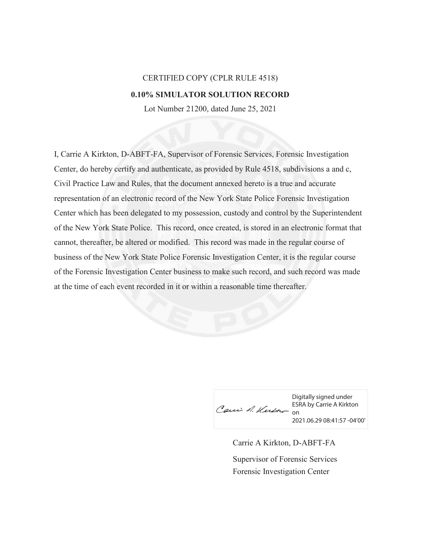## CERTIFIED COPY (CPLR RULE 4518) **0.10% SIMULATOR SOLUTION RECORD**

Lot Number 21200, dated June 25, 2021

I, Carrie A Kirkton, D-ABFT-FA, Supervisor of Forensic Services, Forensic Investigation Center, do hereby certify and authenticate, as provided by Rule 4518, subdivisions a and c, Civil Practice Law and Rules, that the document annexed hereto is a true and accurate representation of an electronic record of the New York State Police Forensic Investigation Center which has been delegated to my possession, custody and control by the Superintendent of the New York State Police. This record, once created, is stored in an electronic format that cannot, thereafter, be altered or modified. This record was made in the regular course of business of the New York State Police Forensic Investigation Center, it is the regular course of the Forensic Investigation Center business to make such record, and such record was made at the time of each event recorded in it or within a reasonable time thereafter.

Caui A. Kush = On

Digitally signed under ESRA by Carrie A Kirkton 2021.06.29 08:41:57 -04'00'

Carrie A Kirkton, D-ABFT-FA Forensic Investigation Center Supervisor of Forensic Services